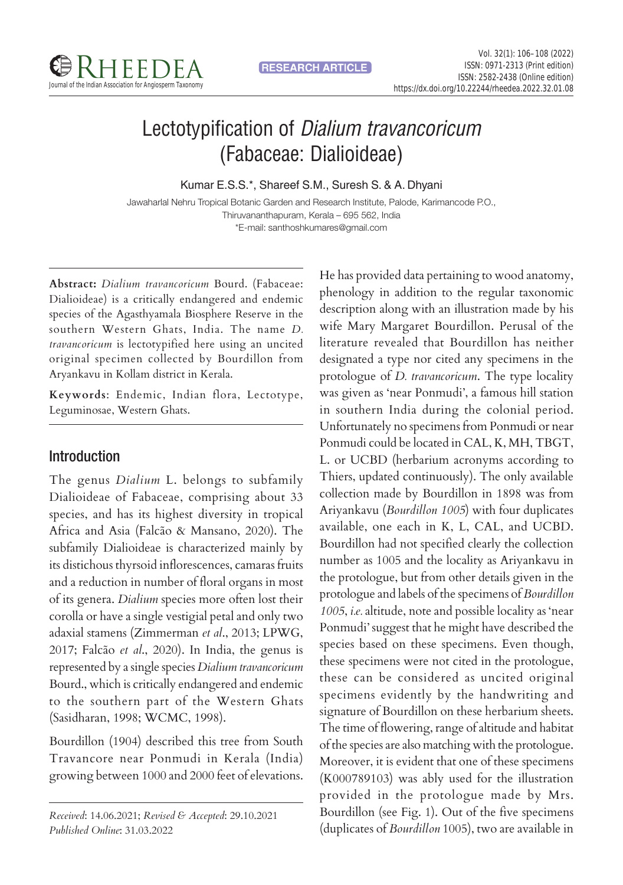

# Lectotypification of Dialium travancoricum (Fabaceae: Dialioideae)

Kumar E.S.S.\*, Shareef S.M., Suresh S. & A. Dhyani

Jawaharlal Nehru Tropical Botanic Garden and Research Institute, Palode, Karimancode P.O., Thiruvananthapuram, Kerala – 695 562, India \*E-mail: santhoshkumares@gmail.com

**Abstract:** *Dialium travancoricum* Bourd. (Fabaceae: Dialioideae) is a critically endangered and endemic species of the Agasthyamala Biosphere Reserve in the southern Western Ghats, India. The name *D. travancoricum* is lectotypified here using an uncited original specimen collected by Bourdillon from Aryankavu in Kollam district in Kerala.

**Keywords**: Endemic, Indian flora, Lectotype, Leguminosae, Western Ghats.

## Introduction

The genus *Dialium* L. belongs to subfamily Dialioideae of Fabaceae, comprising about 33 species, and has its highest diversity in tropical Africa and Asia (Falcão & Mansano, 2020). The subfamily Dialioideae is characterized mainly by its distichous thyrsoid inflorescences, camaras fruits and a reduction in number of floral organs in most of its genera. *Dialium* species more often lost their corolla or have a single vestigial petal and only two adaxial stamens (Zimmerman *et al*., 2013; LPWG, 2017; Falcão *et al*., 2020). In India, the genus is represented by a single species *Dialium travancoricum* Bourd., which is critically endangered and endemic to the southern part of the Western Ghats (Sasidharan, 1998; WCMC, 1998).

Bourdillon (1904) described this tree from South Travancore near Ponmudi in Kerala (India) growing between 1000 and 2000 feet of elevations.

*Received*: 14.06.2021; *Revised & Accepted*: 29.10.2021 *Published Online*: 31.03.2022

He has provided data pertaining to wood anatomy, phenology in addition to the regular taxonomic description along with an illustration made by his wife Mary Margaret Bourdillon. Perusal of the literature revealed that Bourdillon has neither designated a type nor cited any specimens in the protologue of *D. travancoricum*. The type locality was given as 'near Ponmudi', a famous hill station in southern India during the colonial period. Unfortunately no specimens from Ponmudi or near Ponmudi could be located in CAL, K, MH, TBGT, L. or UCBD (herbarium acronyms according to Thiers, updated continuously). The only available collection made by Bourdillon in 1898 was from Ariyankavu (*Bourdillon 1005*) with four duplicates available, one each in K, L, CAL, and UCBD. Bourdillon had not specified clearly the collection number as 1005 and the locality as Ariyankavu in the protologue, but from other details given in the protologue and labels of the specimens of *Bourdillon 1005*, *i.e.* altitude, note and possible locality as 'near Ponmudi' suggest that he might have described the species based on these specimens. Even though, these specimens were not cited in the protologue, these can be considered as uncited original specimens evidently by the handwriting and signature of Bourdillon on these herbarium sheets. The time of flowering, range of altitude and habitat of the species are also matching with the protologue. Moreover, it is evident that one of these specimens (K000789103) was ably used for the illustration provided in the protologue made by Mrs. Bourdillon (see Fig. 1). Out of the five specimens (duplicates of *Bourdillon* 1005), two are available in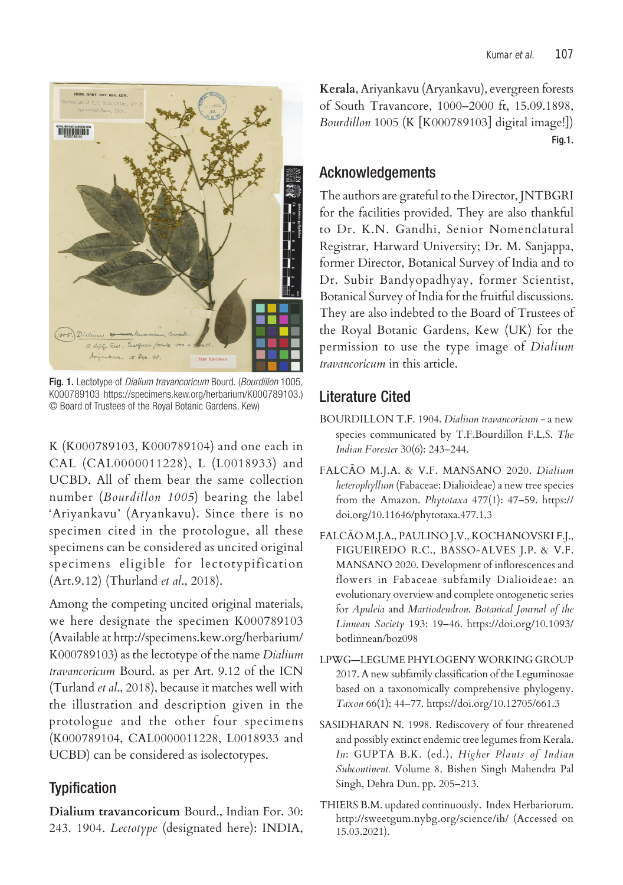

Fig. 1. Lectotype of Dialium travancoricum Bourd. (Bourdillon 1005, K000789103 https://specimens.kew.org/herbarium/K000789103.) © Board of Trustees of the Royal Botanic Gardens, Kew)

K (K000789103, K000789104) and one each in CAL (CAL0000011228), L (L0018933) and UCBD. All of them bear the same collection number (*Bourdillon 1005*) bearing the label 'Ariyankavu' (Aryankavu). Since there is no specimen cited in the protologue, all these specimens can be considered as uncited original specimens eligible for lectotypification (Art.9.12) (Thurland *et al*., 2018).

Among the competing uncited original materials, we here designate the specimen K000789103 (Available at http://specimens.kew.org/herbarium/ K000789103) as the lectotype of the name *Dialium travancoricum* Bourd. as per Art. 9.12 of the ICN (Turland *et al*., 2018), because it matches well with the illustration and description given in the protologue and the other four specimens (K000789104, CAL0000011228, L0018933 and UCBD) can be considered as isolectotypes.

#### **Typification**

**Dialium travancoricum** Bourd., Indian For. 30: 243. 1904. *Lectotype* (designated here): INDIA, **Kerala**, Ariyankavu (Aryankavu), evergreen forests of South Travancore, 1000–2000 ft, 15.09.1898, *Bourdillon* 1005 (K [K000789103] digital image!]) Fig.1.

#### Acknowledgements

The authors are grateful to the Director, JNTBGRI for the facilities provided. They are also thankful to Dr. K.N. Gandhi, Senior Nomenclatural Registrar, Harward University; Dr. M. Sanjappa, former Director, Botanical Survey of India and to Dr. Subir Bandyopadhyay, former Scientist, Botanical Survey of India for the fruitful discussions. They are also indebted to the Board of Trustees of the Royal Botanic Gardens, Kew (UK) for the permission to use the type image of *Dialium travancoricum* in this article.

### Literature Cited

- BOURDILLON T.F. 1904. *Dialium travancoricum*  a new species communicated by T.F.Bourdillon F.L.S. *The Indian Forester* 30(6): 243–244.
- FALCÃO M.J.A. & V.F. MANSANO 2020. *Dialium heterophyllum* (Fabaceae: Dialioideae) a new tree species from the Amazon. *Phytotaxa* 477(1): 47–59. https:// doi.org/10.11646/phytotaxa.477.1.3
- FALCÃO M.J.A., PAULINO J.V., KOCHANOVSKI F.J., FIGUEIREDO R.C., BASSO-ALVES J.P. & V.F. MANSANO 2020. Development of inflorescences and flowers in Fabaceae subfamily Dialioideae: an evolutionary overview and complete ontogenetic series for *Apuleia* and *Martiodendron*. *Botanical Journal of the Linnean Society* 193: 19–46. https://doi.org/10.1093/ botlinnean/boz098
- LPWG—LEGUME PHYLOGENY WORKING GROUP 2017. A new subfamily classification of the Leguminosae based on a taxonomically comprehensive phylogeny. *Taxon* 66(1): 44–77. https://doi.org/10.12705/661.3
- SASIDHARAN N. 1998. Rediscovery of four threatened and possibly extinct endemic tree legumes from Kerala. *In*: GUPTA B.K. (ed.), *Higher Plants of Indian Subcontinent.* Volume 8. Bishen Singh Mahendra Pal Singh, Dehra Dun. pp. 205–213.
- THIERS B.M. updated continuously. Index Herbariorum. http://sweetgum.nybg.org/science/ih/ (Accessed on 15.03.2021).